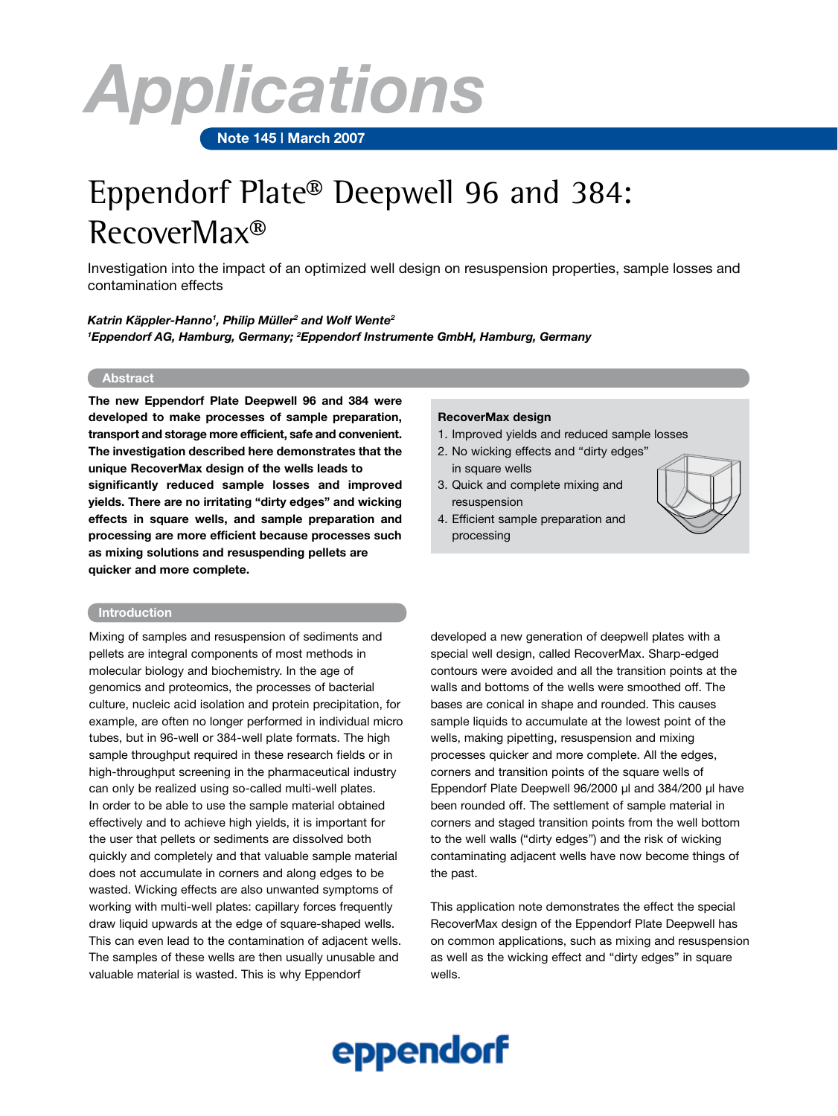# *Applications*

 **Note 145 | March 2007**

## Eppendorf Plate® Deepwell 96 and 384: RecoverMax®

Investigation into the impact of an optimized well design on resuspension properties, sample losses and contamination effects

*Katrin Käppler-Hanno1 , Philip Müller2 and Wolf Wente2 1 Eppendorf AG, Hamburg, Germany; 2 Eppendorf Instrumente GmbH, Hamburg, Germany*

#### **Abstract**

**The new Eppendorf Plate Deepwell 96 and 384 were developed to make processes of sample preparation, transport and storage more efficient, safe and convenient. The investigation described here demonstrates that the unique RecoverMax design of the wells leads to significantly reduced sample losses and improved yields. There are no irritating "dirty edges" and wicking effects in square wells, and sample preparation and processing are more efficient because processes such as mixing solutions and resuspending pellets are quicker and more complete.**

#### **Introduction**

Mixing of samples and resuspension of sediments and pellets are integral components of most methods in molecular biology and biochemistry. In the age of genomics and proteomics, the processes of bacterial culture, nucleic acid isolation and protein precipitation, for example, are often no longer performed in individual micro tubes, but in 96-well or 384-well plate formats. The high sample throughput required in these research fields or in high-throughput screening in the pharmaceutical industry can only be realized using so-called multi-well plates. In order to be able to use the sample material obtained effectively and to achieve high yields, it is important for the user that pellets or sediments are dissolved both quickly and completely and that valuable sample material does not accumulate in corners and along edges to be wasted. Wicking effects are also unwanted symptoms of working with multi-well plates: capillary forces frequently draw liquid upwards at the edge of square-shaped wells. This can even lead to the contamination of adjacent wells. The samples of these wells are then usually unusable and valuable material is wasted. This is why Eppendorf

#### **RecoverMax design**

- 1. Improved yields and reduced sample losses
- 2. No wicking effects and "dirty edges" in square wells
- 3. Quick and complete mixing and resuspension
- 4. Efficient sample preparation and processing



developed a new generation of deepwell plates with a special well design, called RecoverMax. Sharp-edged contours were avoided and all the transition points at the walls and bottoms of the wells were smoothed off. The bases are conical in shape and rounded. This causes sample liquids to accumulate at the lowest point of the wells, making pipetting, resuspension and mixing processes quicker and more complete. All the edges, corners and transition points of the square wells of Eppendorf Plate Deepwell 96/2000 µl and 384/200 µl have been rounded off. The settlement of sample material in corners and staged transition points from the well bottom to the well walls ("dirty edges") and the risk of wicking contaminating adjacent wells have now become things of the past.

This application note demonstrates the effect the special RecoverMax design of the Eppendorf Plate Deepwell has on common applications, such as mixing and resuspension as well as the wicking effect and "dirty edges" in square wells.

## eppendorf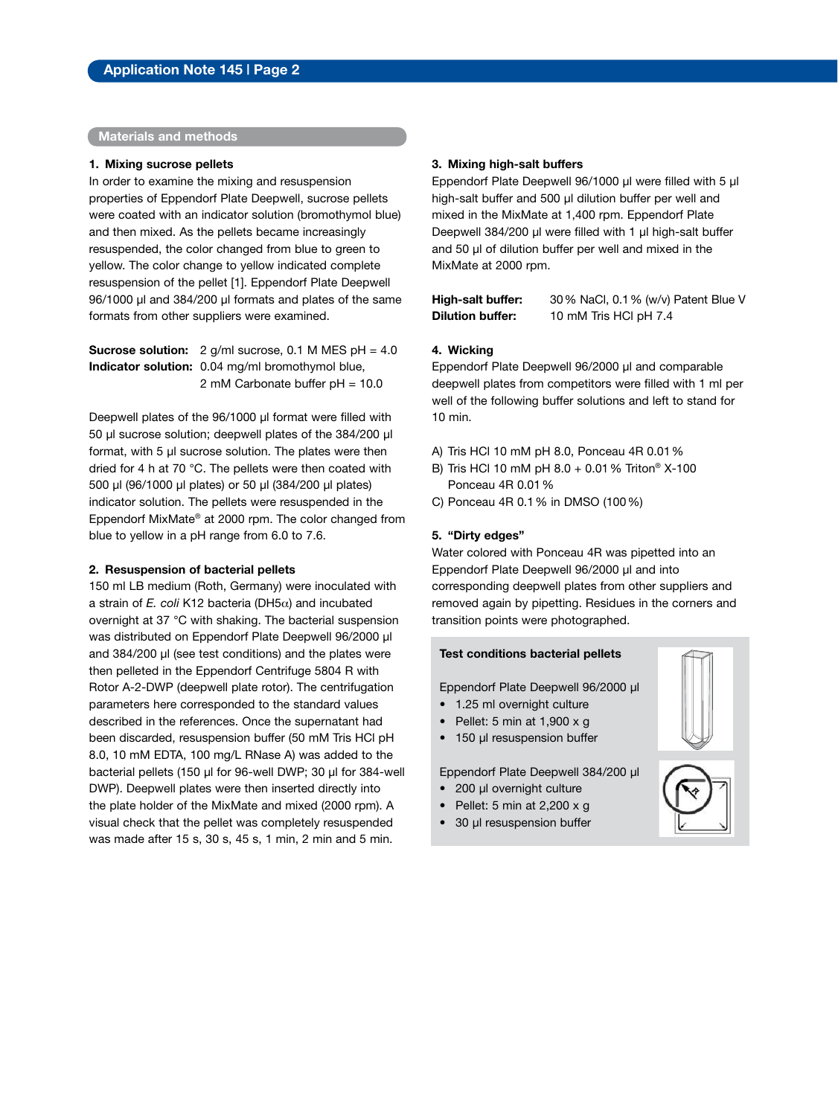#### **Materials and methods**

#### **1. Mixing sucrose pellets**

In order to examine the mixing and resuspension properties of Eppendorf Plate Deepwell, sucrose pellets were coated with an indicator solution (bromothymol blue) and then mixed. As the pellets became increasingly resuspended, the color changed from blue to green to yellow. The color change to yellow indicated complete resuspension of the pellet [1]. Eppendorf Plate Deepwell 96/1000 µl and 384/200 µl formats and plates of the same formats from other suppliers were examined.

**Sucrose solution:** 2 g/ml sucrose, 0.1 M MES pH = 4.0 **Indicator solution:** 0.04 mg/ml bromothymol blue, 2 mM Carbonate buffer pH = 10.0

Deepwell plates of the 96/1000 µl format were filled with 50 µl sucrose solution; deepwell plates of the 384/200 µl format, with 5 µl sucrose solution. The plates were then dried for 4 h at 70 °C. The pellets were then coated with 500 µl (96/1000 µl plates) or 50 µl (384/200 µl plates) indicator solution. The pellets were resuspended in the Eppendorf MixMate® at 2000 rpm. The color changed from blue to yellow in a pH range from 6.0 to 7.6.

#### **2. Resuspension of bacterial pellets**

150 ml LB medium (Roth, Germany) were inoculated with a strain of *E. coli* K12 bacteria (DH5α) and incubated overnight at 37 °C with shaking. The bacterial suspension was distributed on Eppendorf Plate Deepwell 96/2000 µl and 384/200 µl (see test conditions) and the plates were then pelleted in the Eppendorf Centrifuge 5804 R with Rotor A-2-DWP (deepwell plate rotor). The centrifugation parameters here corresponded to the standard values described in the references. Once the supernatant had been discarded, resuspension buffer (50 mM Tris HCl pH 8.0, 10 mM EDTA, 100 mg/L RNase A) was added to the bacterial pellets (150 µl for 96-well DWP; 30 µl for 384-well DWP). Deepwell plates were then inserted directly into the plate holder of the MixMate and mixed (2000 rpm). A visual check that the pellet was completely resuspended was made after 15 s, 30 s, 45 s, 1 min, 2 min and 5 min.

#### **3. Mixing high-salt buffers**

Eppendorf Plate Deepwell 96/1000 µl were filled with 5 µl high-salt buffer and 500 µl dilution buffer per well and mixed in the MixMate at 1,400 rpm. Eppendorf Plate Deepwell 384/200 µl were filled with 1 µl high-salt buffer and 50 µl of dilution buffer per well and mixed in the MixMate at 2000 rpm.

**High-salt buffer:** 30% NaCl, 0.1% (w/v) Patent Blue V **Dilution buffer:** 10 mM Tris HCl pH 7.4

#### **4. Wicking**

Eppendorf Plate Deepwell 96/2000 µl and comparable deepwell plates from competitors were filled with 1 ml per well of the following buffer solutions and left to stand for 10 min.

- A) Tris HCl 10 mM pH 8.0, Ponceau 4R 0.01%
- B) Tris HCl 10 mM pH 8.0 + 0.01% Triton® X-100 Ponceau 4R 0.01%
- C) Ponceau 4R 0.1% in DMSO (100%)

#### **5. "Dirty edges"**

Water colored with Ponceau 4R was pipetted into an Eppendorf Plate Deepwell 96/2000 µl and into corresponding deepwell plates from other suppliers and removed again by pipetting. Residues in the corners and transition points were photographed.

#### **Test conditions bacterial pellets**

Eppendorf Plate Deepwell 96/2000 µl

- 1.25 ml overnight culture
- Pellet: 5 min at 1,900 x g
- 150 µl resuspension buffer

Eppendorf Plate Deepwell 384/200 µl

- 200 µl overnight culture
- Pellet: 5 min at 2,200 x g
- 30 µl resuspension buffer



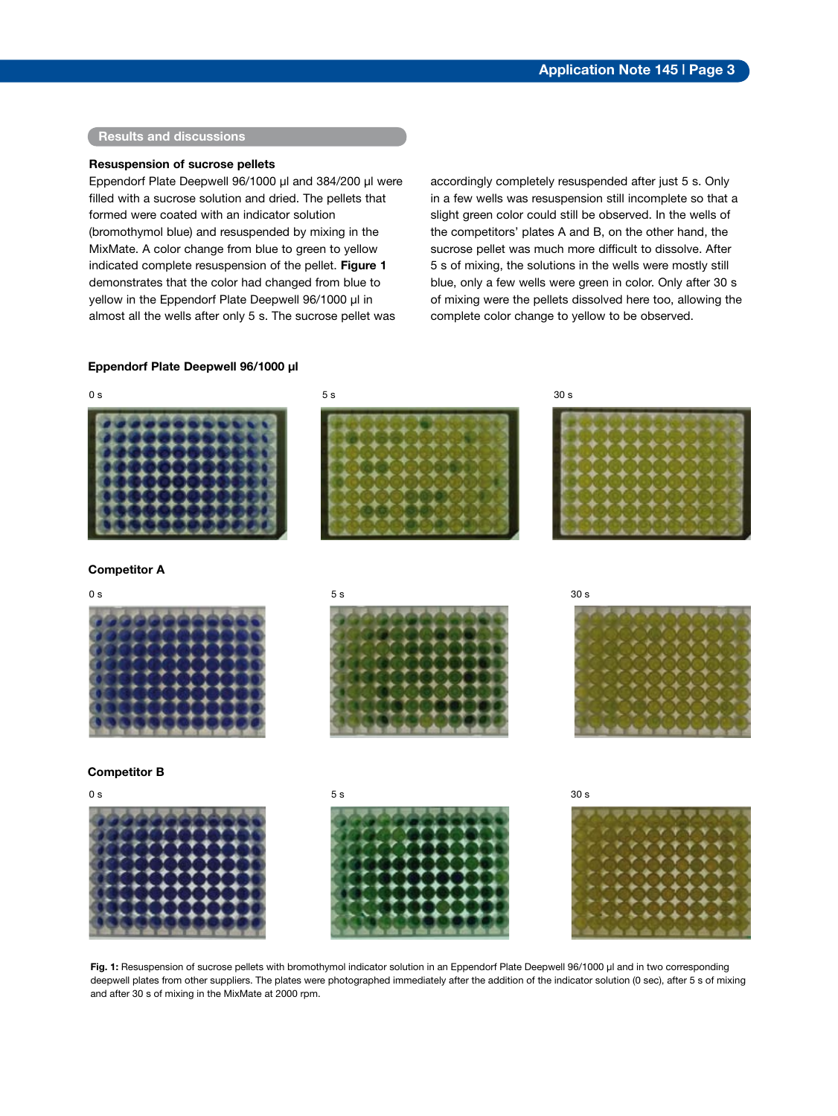#### **Results and discussions**

#### **Resuspension of sucrose pellets**

Eppendorf Plate Deepwell 96/1000 µl and 384/200 µl were filled with a sucrose solution and dried. The pellets that formed were coated with an indicator solution (bromothymol blue) and resuspended by mixing in the MixMate. A color change from blue to green to yellow indicated complete resuspension of the pellet. **Figure 1** demonstrates that the color had changed from blue to yellow in the Eppendorf Plate Deepwell 96/1000 µl in almost all the wells after only 5 s. The sucrose pellet was

accordingly completely resuspended after just 5 s. Only in a few wells was resuspension still incomplete so that a slight green color could still be observed. In the wells of the competitors' plates A and B, on the other hand, the sucrose pellet was much more difficult to dissolve. After 5 s of mixing, the solutions in the wells were mostly still blue, only a few wells were green in color. Only after 30 s of mixing were the pellets dissolved here too, allowing the complete color change to yellow to be observed.

#### **Eppendorf Plate Deepwell 96/1000 µl**



Fig. 1: Resuspension of sucrose pellets with bromothymol indicator solution in an Eppendorf Plate Deepwell 96/1000 µl and in two corresponding deepwell plates from other suppliers. The plates were photographed immediately after the addition of the indicator solution (0 sec), after 5 s of mixing and after 30 s of mixing in the MixMate at 2000 rpm.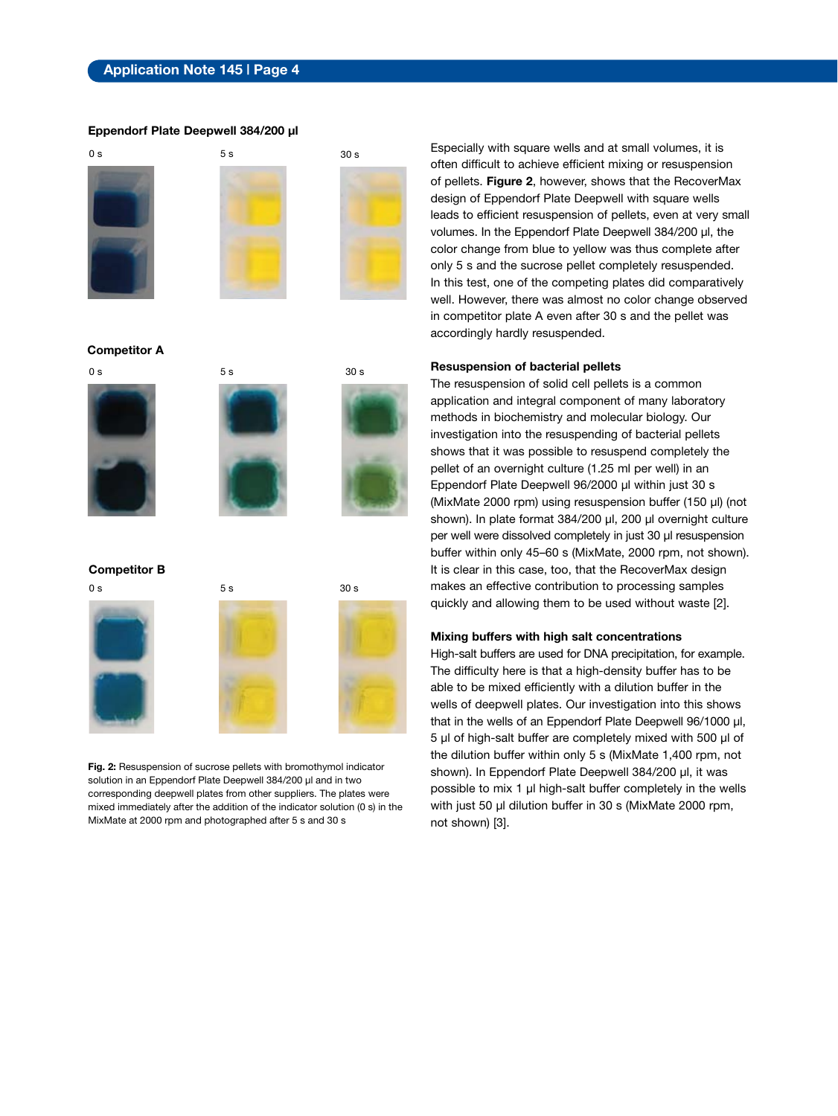#### **Eppendorf Plate Deepwell 384/200 µl**



**Competitor A**







**Competitor B**



**Fig. 2:** Resuspension of sucrose pellets with bromothymol indicator solution in an Eppendorf Plate Deepwell 384/200 µl and in two corresponding deepwell plates from other suppliers. The plates were mixed immediately after the addition of the indicator solution (0 s) in the MixMate at 2000 rpm and photographed after 5 s and 30 s

Especially with square wells and at small volumes, it is often difficult to achieve efficient mixing or resuspension of pellets. **Figure 2**, however, shows that the RecoverMax design of Eppendorf Plate Deepwell with square wells leads to efficient resuspension of pellets, even at very small volumes. In the Eppendorf Plate Deepwell 384/200 µl, the color change from blue to yellow was thus complete after only 5 s and the sucrose pellet completely resuspended. In this test, one of the competing plates did comparatively well. However, there was almost no color change observed in competitor plate A even after 30 s and the pellet was accordingly hardly resuspended.

#### **Resuspension of bacterial pellets**

The resuspension of solid cell pellets is a common application and integral component of many laboratory methods in biochemistry and molecular biology. Our investigation into the resuspending of bacterial pellets shows that it was possible to resuspend completely the pellet of an overnight culture (1.25 ml per well) in an Eppendorf Plate Deepwell 96/2000 µl within just 30 s (MixMate 2000 rpm) using resuspension buffer (150 µl) (not shown). In plate format 384/200 µl, 200 µl overnight culture per well were dissolved completely in just 30 µl resuspension buffer within only 45–60 s (MixMate, 2000 rpm, not shown). It is clear in this case, too, that the RecoverMax design makes an effective contribution to processing samples quickly and allowing them to be used without waste [2].

#### **Mixing buffers with high salt concentrations**

High-salt buffers are used for DNA precipitation, for example. The difficulty here is that a high-density buffer has to be able to be mixed efficiently with a dilution buffer in the wells of deepwell plates. Our investigation into this shows that in the wells of an Eppendorf Plate Deepwell 96/1000 µl, 5 µl of high-salt buffer are completely mixed with 500 µl of the dilution buffer within only 5 s (MixMate 1,400 rpm, not shown). In Eppendorf Plate Deepwell 384/200 µl, it was possible to mix 1 µl high-salt buffer completely in the wells with just 50 µl dilution buffer in 30 s (MixMate 2000 rpm, not shown) [3].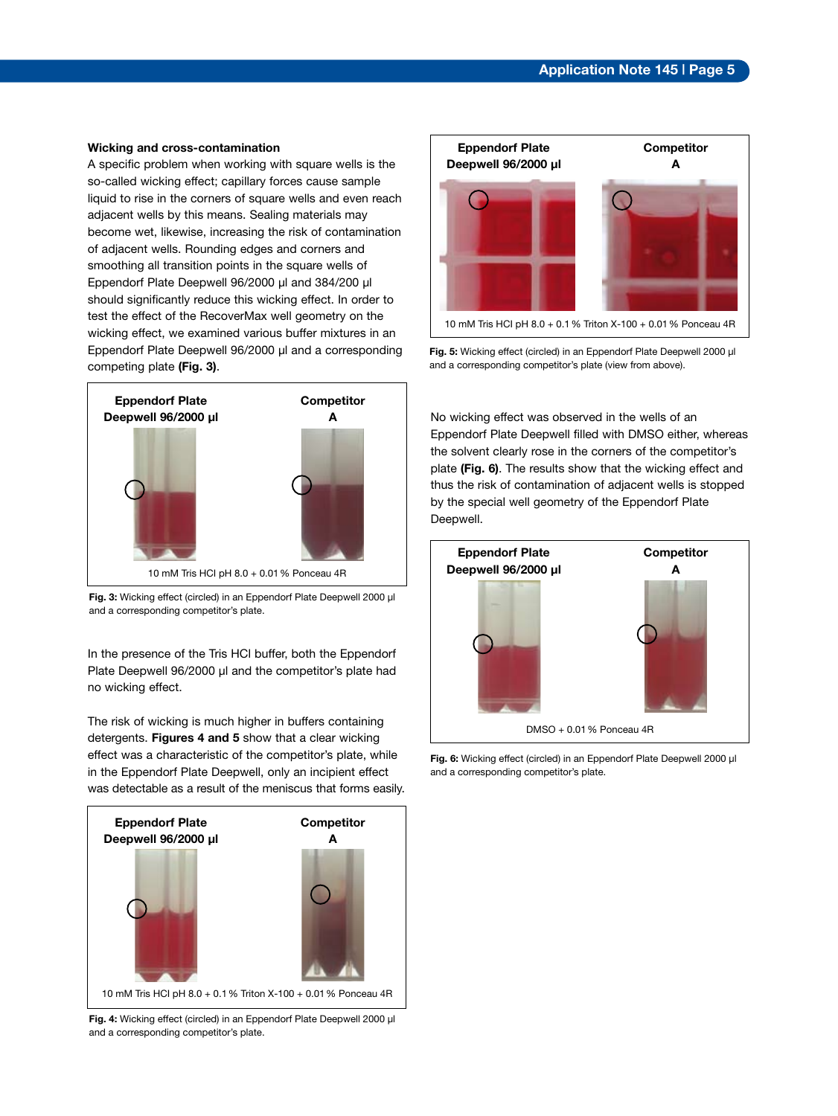#### **Wicking and cross-contamination**

A specific problem when working with square wells is the so-called wicking effect; capillary forces cause sample liquid to rise in the corners of square wells and even reach adjacent wells by this means. Sealing materials may become wet, likewise, increasing the risk of contamination of adjacent wells. Rounding edges and corners and smoothing all transition points in the square wells of Eppendorf Plate Deepwell 96/2000 µl and 384/200 µl should significantly reduce this wicking effect. In order to test the effect of the RecoverMax well geometry on the wicking effect, we examined various buffer mixtures in an Eppendorf Plate Deepwell 96/2000 µl and a corresponding competing plate **(Fig. 3)**.





In the presence of the Tris HCl buffer, both the Eppendorf Plate Deepwell 96/2000 µl and the competitor's plate had no wicking effect.

The risk of wicking is much higher in buffers containing detergents. **Figures 4 and 5** show that a clear wicking effect was a characteristic of the competitor's plate, while in the Eppendorf Plate Deepwell, only an incipient effect was detectable as a result of the meniscus that forms easily.



**Fig. 4:** Wicking effect (circled) in an Eppendorf Plate Deepwell 2000 µl and a corresponding competitor's plate.



**Fig. 5:** Wicking effect (circled) in an Eppendorf Plate Deepwell 2000 µl and a corresponding competitor's plate (view from above).

No wicking effect was observed in the wells of an Eppendorf Plate Deepwell filled with DMSO either, whereas the solvent clearly rose in the corners of the competitor's plate **(Fig. 6)**. The results show that the wicking effect and thus the risk of contamination of adjacent wells is stopped by the special well geometry of the Eppendorf Plate Deepwell.



Fig. 6: Wicking effect (circled) in an Eppendorf Plate Deepwell 2000 µl and a corresponding competitor's plate.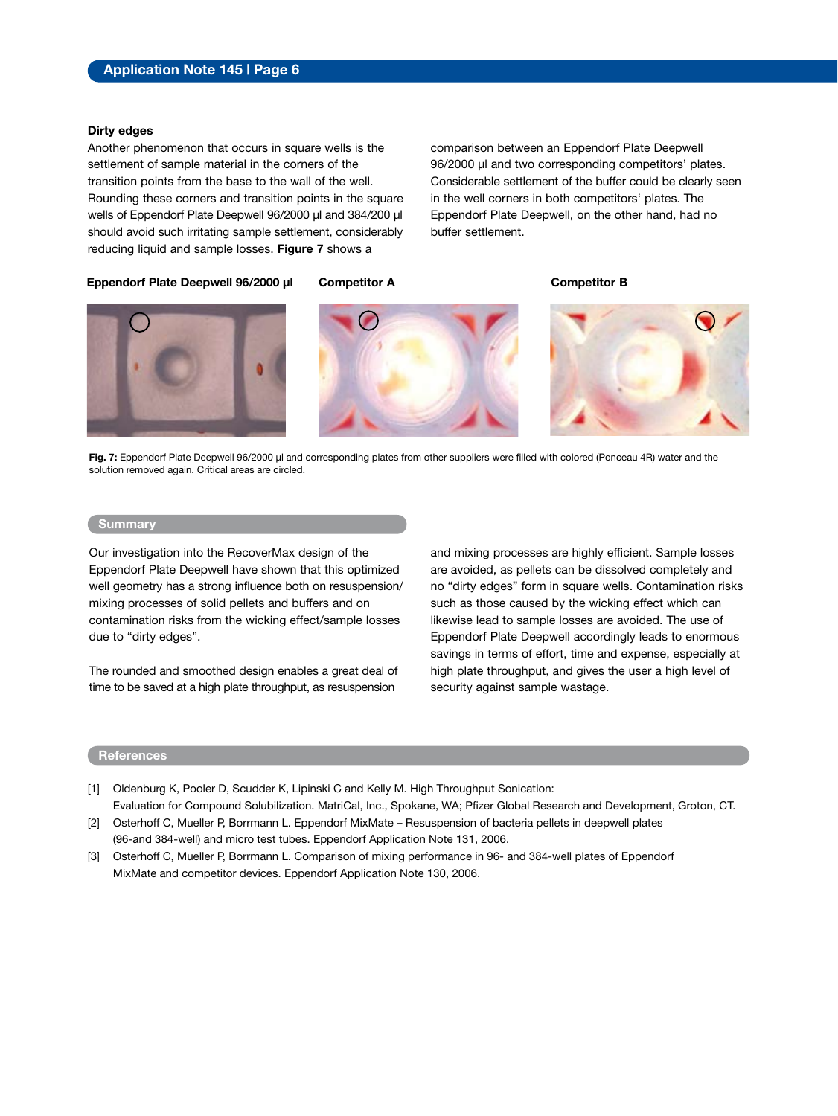#### **Dirty edges**

Another phenomenon that occurs in square wells is the settlement of sample material in the corners of the transition points from the base to the wall of the well. Rounding these corners and transition points in the square wells of Eppendorf Plate Deepwell 96/2000 µl and 384/200 µl should avoid such irritating sample settlement, considerably reducing liquid and sample losses. **Figure 7** shows a

comparison between an Eppendorf Plate Deepwell 96/2000 µl and two corresponding competitors' plates. Considerable settlement of the buffer could be clearly seen in the well corners in both competitors' plates. The Eppendorf Plate Deepwell, on the other hand, had no buffer settlement.

**Eppendorf Plate Deepwell 96/2000 µl Competitor A Competitor B**







**Fig. 7:** Eppendorf Plate Deepwell 96/2000 µl and corresponding plates from other suppliers were filled with colored (Ponceau 4R) water and the solution removed again. Critical areas are circled.

#### **Summary**

Our investigation into the RecoverMax design of the Eppendorf Plate Deepwell have shown that this optimized well geometry has a strong influence both on resuspension/ mixing processes of solid pellets and buffers and on contamination risks from the wicking effect/sample losses due to "dirty edges".

The rounded and smoothed design enables a great deal of time to be saved at a high plate throughput, as resuspension

and mixing processes are highly efficient. Sample losses are avoided, as pellets can be dissolved completely and no "dirty edges" form in square wells. Contamination risks such as those caused by the wicking effect which can likewise lead to sample losses are avoided. The use of Eppendorf Plate Deepwell accordingly leads to enormous savings in terms of effort, time and expense, especially at high plate throughput, and gives the user a high level of security against sample wastage.

#### **References**

- [1] Oldenburg K, Pooler D, Scudder K, Lipinski C and Kelly M. High Throughput Sonication: Evaluation for Compound Solubilization. MatriCal, Inc., Spokane, WA; Pfizer Global Research and Development, Groton, CT.
- [2] Osterhoff C, Mueller P, Borrmann L. Eppendorf MixMate Resuspension of bacteria pellets in deepwell plates (96-and 384-well) and micro test tubes. Eppendorf Application Note 131, 2006.
- [3] Osterhoff C, Mueller P, Borrmann L. Comparison of mixing performance in 96- and 384-well plates of Eppendorf MixMate and competitor devices. Eppendorf Application Note 130, 2006.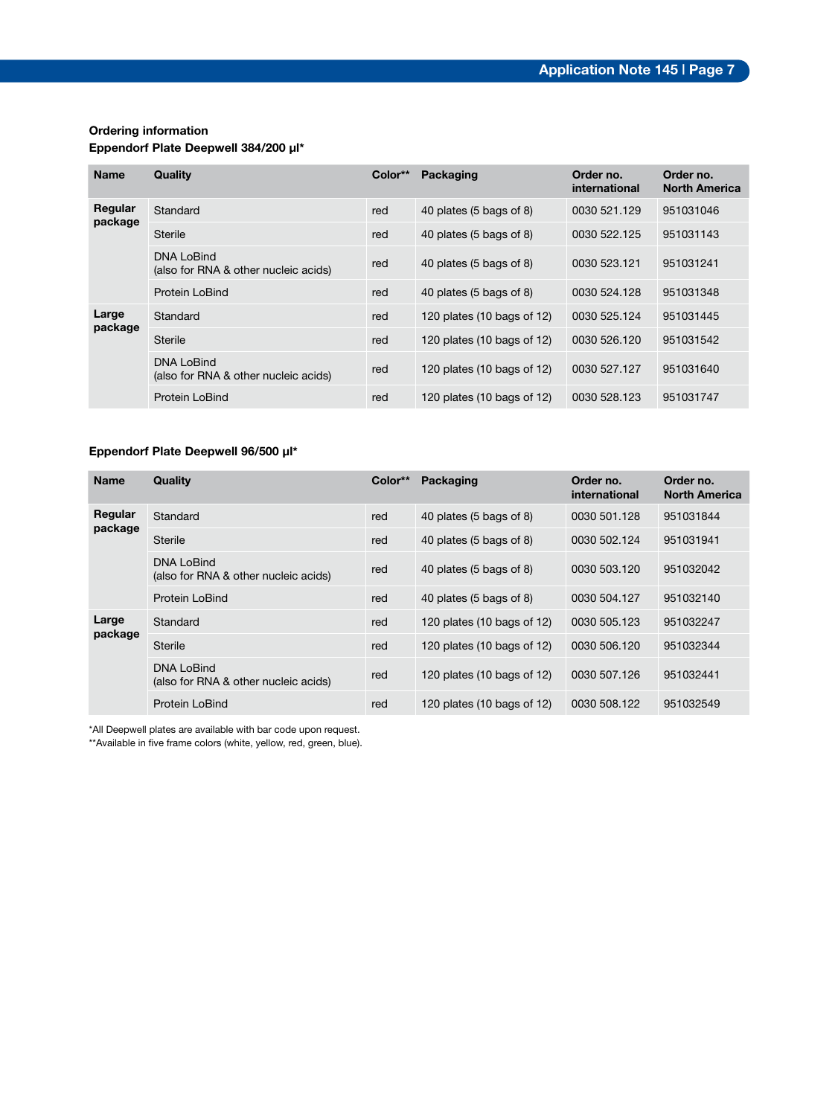#### **Ordering information**

#### **Eppendorf Plate Deepwell 384/200 µl\***

| <b>Name</b>        | Quality                                                   | Color** | Packaging                  | Order no.<br>international | Order no.<br><b>North America</b> |
|--------------------|-----------------------------------------------------------|---------|----------------------------|----------------------------|-----------------------------------|
| Regular<br>package | Standard                                                  | red     | 40 plates (5 bags of 8)    | 0030 521.129               | 951031046                         |
|                    | Sterile                                                   | red     | 40 plates (5 bags of 8)    | 0030 522.125               | 951031143                         |
|                    | <b>DNA LoBind</b><br>(also for RNA & other nucleic acids) | red     | 40 plates (5 bags of 8)    | 0030 523.121               | 951031241                         |
|                    | Protein LoBind                                            | red     | 40 plates (5 bags of 8)    | 0030 524.128               | 951031348                         |
| Large<br>package   | Standard                                                  | red     | 120 plates (10 bags of 12) | 0030 525.124               | 951031445                         |
|                    | Sterile                                                   | red     | 120 plates (10 bags of 12) | 0030 526.120               | 951031542                         |
|                    | DNA LoBind<br>(also for RNA & other nucleic acids)        | red     | 120 plates (10 bags of 12) | 0030 527.127               | 951031640                         |
|                    | Protein LoBind                                            | red     | 120 plates (10 bags of 12) | 0030 528.123               | 951031747                         |

### **Eppendorf Plate Deepwell 96/500 µl\***

| <b>Name</b>        | Quality                                                   | Color** | Packaging                  | Order no.<br>international | Order no.<br><b>North America</b> |
|--------------------|-----------------------------------------------------------|---------|----------------------------|----------------------------|-----------------------------------|
| Regular<br>package | Standard                                                  | red     | 40 plates (5 bags of 8)    | 0030 501.128               | 951031844                         |
|                    | Sterile                                                   | red     | 40 plates (5 bags of 8)    | 0030 502.124               | 951031941                         |
|                    | <b>DNA LoBind</b><br>(also for RNA & other nucleic acids) | red     | 40 plates (5 bags of 8)    | 0030 503.120               | 951032042                         |
|                    | Protein LoBind                                            | red     | 40 plates (5 bags of 8)    | 0030 504.127               | 951032140                         |
| Large<br>package   | Standard                                                  | red     | 120 plates (10 bags of 12) | 0030 505.123               | 951032247                         |
|                    | Sterile                                                   | red     | 120 plates (10 bags of 12) | 0030 506.120               | 951032344                         |
|                    | <b>DNA LoBind</b><br>(also for RNA & other nucleic acids) | red     | 120 plates (10 bags of 12) | 0030 507.126               | 951032441                         |
|                    | Protein LoBind                                            | red     | 120 plates (10 bags of 12) | 0030 508.122               | 951032549                         |

\*All Deepwell plates are available with bar code upon request.

\*\*Available in five frame colors (white, yellow, red, green, blue).